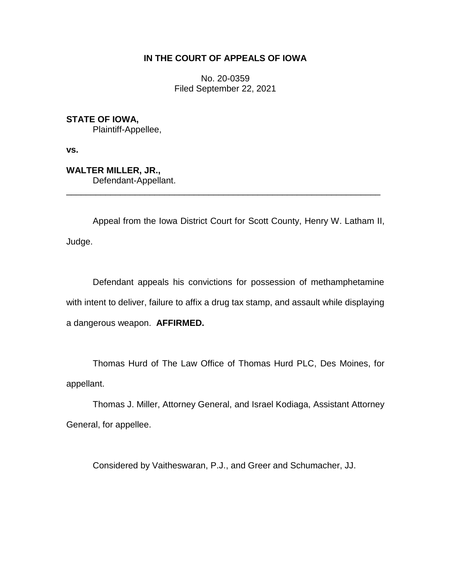# **IN THE COURT OF APPEALS OF IOWA**

No. 20-0359 Filed September 22, 2021

**STATE OF IOWA,** Plaintiff-Appellee,

**vs.**

**WALTER MILLER, JR.,** Defendant-Appellant. \_\_\_\_\_\_\_\_\_\_\_\_\_\_\_\_\_\_\_\_\_\_\_\_\_\_\_\_\_\_\_\_\_\_\_\_\_\_\_\_\_\_\_\_\_\_\_\_\_\_\_\_\_\_\_\_\_\_\_\_\_\_\_\_

Appeal from the Iowa District Court for Scott County, Henry W. Latham II, Judge.

Defendant appeals his convictions for possession of methamphetamine with intent to deliver, failure to affix a drug tax stamp, and assault while displaying a dangerous weapon. **AFFIRMED.**

Thomas Hurd of The Law Office of Thomas Hurd PLC, Des Moines, for appellant.

Thomas J. Miller, Attorney General, and Israel Kodiaga, Assistant Attorney General, for appellee.

Considered by Vaitheswaran, P.J., and Greer and Schumacher, JJ.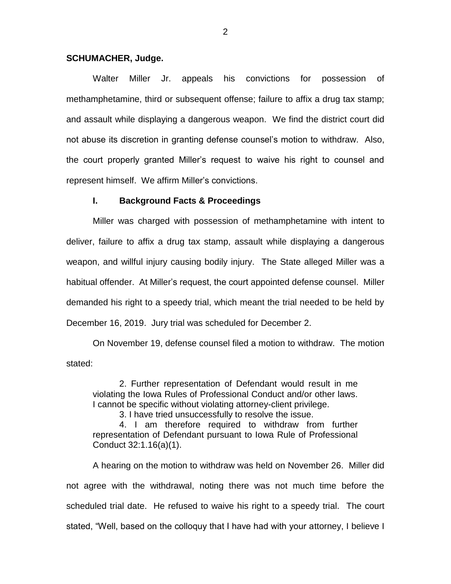## **SCHUMACHER, Judge.**

Walter Miller Jr. appeals his convictions for possession of methamphetamine, third or subsequent offense; failure to affix a drug tax stamp; and assault while displaying a dangerous weapon. We find the district court did not abuse its discretion in granting defense counsel's motion to withdraw. Also, the court properly granted Miller's request to waive his right to counsel and represent himself. We affirm Miller's convictions.

## **I. Background Facts & Proceedings**

Miller was charged with possession of methamphetamine with intent to deliver, failure to affix a drug tax stamp, assault while displaying a dangerous weapon, and willful injury causing bodily injury. The State alleged Miller was a habitual offender. At Miller's request, the court appointed defense counsel. Miller demanded his right to a speedy trial, which meant the trial needed to be held by December 16, 2019. Jury trial was scheduled for December 2.

On November 19, defense counsel filed a motion to withdraw. The motion stated:

2. Further representation of Defendant would result in me violating the Iowa Rules of Professional Conduct and/or other laws. I cannot be specific without violating attorney-client privilege.

3. I have tried unsuccessfully to resolve the issue.

4. I am therefore required to withdraw from further representation of Defendant pursuant to Iowa Rule of Professional Conduct 32:1.16(a)(1).

A hearing on the motion to withdraw was held on November 26. Miller did not agree with the withdrawal, noting there was not much time before the scheduled trial date. He refused to waive his right to a speedy trial. The court stated, "Well, based on the colloquy that I have had with your attorney, I believe I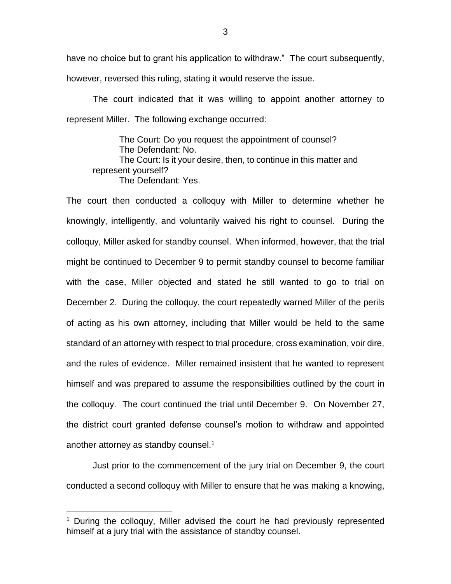have no choice but to grant his application to withdraw." The court subsequently, however, reversed this ruling, stating it would reserve the issue.

The court indicated that it was willing to appoint another attorney to represent Miller. The following exchange occurred:

The Court: Do you request the appointment of counsel? The Defendant: No. The Court: Is it your desire, then, to continue in this matter and represent yourself? The Defendant: Yes.

The court then conducted a colloquy with Miller to determine whether he knowingly, intelligently, and voluntarily waived his right to counsel. During the colloquy, Miller asked for standby counsel. When informed, however, that the trial might be continued to December 9 to permit standby counsel to become familiar with the case, Miller objected and stated he still wanted to go to trial on December 2. During the colloquy, the court repeatedly warned Miller of the perils of acting as his own attorney, including that Miller would be held to the same standard of an attorney with respect to trial procedure, cross examination, voir dire, and the rules of evidence. Miller remained insistent that he wanted to represent himself and was prepared to assume the responsibilities outlined by the court in the colloquy. The court continued the trial until December 9. On November 27, the district court granted defense counsel's motion to withdraw and appointed another attorney as standby counsel. $1$ 

Just prior to the commencement of the jury trial on December 9, the court conducted a second colloquy with Miller to ensure that he was making a knowing,

 $\overline{a}$ 

3

<sup>&</sup>lt;sup>1</sup> During the colloguy, Miller advised the court he had previously represented himself at a jury trial with the assistance of standby counsel.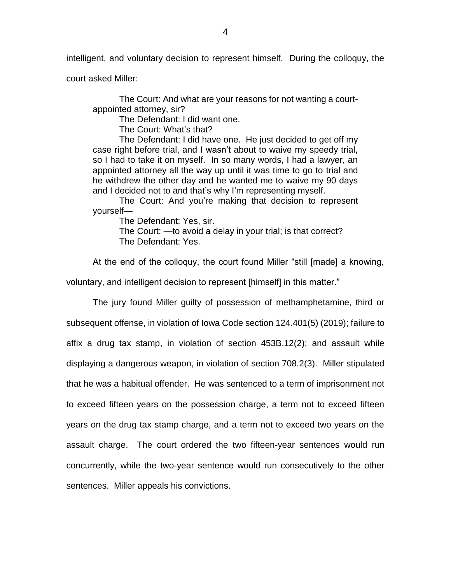intelligent, and voluntary decision to represent himself. During the colloquy, the

court asked Miller:

The Court: And what are your reasons for not wanting a courtappointed attorney, sir?

The Defendant: I did want one.

The Court: What's that?

The Defendant: I did have one. He just decided to get off my case right before trial, and I wasn't about to waive my speedy trial, so I had to take it on myself. In so many words, I had a lawyer, an appointed attorney all the way up until it was time to go to trial and he withdrew the other day and he wanted me to waive my 90 days and I decided not to and that's why I'm representing myself.

The Court: And you're making that decision to represent yourself—

The Defendant: Yes, sir.

The Court: —to avoid a delay in your trial; is that correct? The Defendant: Yes.

At the end of the colloquy, the court found Miller "still [made] a knowing,

voluntary, and intelligent decision to represent [himself] in this matter."

The jury found Miller guilty of possession of methamphetamine, third or subsequent offense, in violation of Iowa Code section 124.401(5) (2019); failure to affix a drug tax stamp, in violation of section 453B.12(2); and assault while displaying a dangerous weapon, in violation of section 708.2(3). Miller stipulated that he was a habitual offender. He was sentenced to a term of imprisonment not to exceed fifteen years on the possession charge, a term not to exceed fifteen years on the drug tax stamp charge, and a term not to exceed two years on the assault charge. The court ordered the two fifteen-year sentences would run concurrently, while the two-year sentence would run consecutively to the other sentences. Miller appeals his convictions.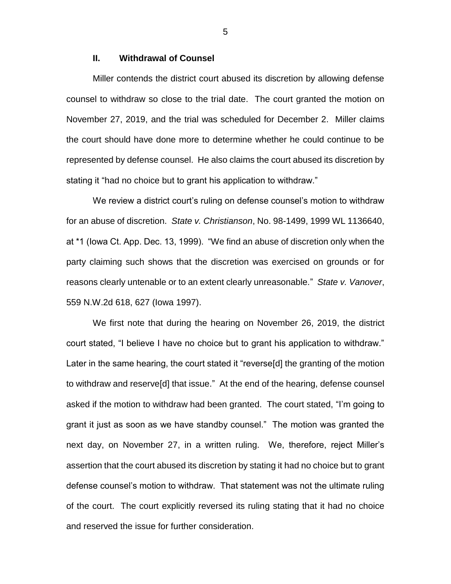# **II. Withdrawal of Counsel**

Miller contends the district court abused its discretion by allowing defense counsel to withdraw so close to the trial date. The court granted the motion on November 27, 2019, and the trial was scheduled for December 2. Miller claims the court should have done more to determine whether he could continue to be represented by defense counsel. He also claims the court abused its discretion by stating it "had no choice but to grant his application to withdraw."

We review a district court's ruling on defense counsel's motion to withdraw for an abuse of discretion. *State v. Christianson*, No. 98-1499, 1999 WL 1136640, at \*1 (Iowa Ct. App. Dec. 13, 1999). "We find an abuse of discretion only when the party claiming such shows that the discretion was exercised on grounds or for reasons clearly untenable or to an extent clearly unreasonable." *State v. Vanover*, 559 N.W.2d 618, 627 (Iowa 1997).

We first note that during the hearing on November 26, 2019, the district court stated, "I believe I have no choice but to grant his application to withdraw." Later in the same hearing, the court stated it "reverse[d] the granting of the motion to withdraw and reserve[d] that issue." At the end of the hearing, defense counsel asked if the motion to withdraw had been granted. The court stated, "I'm going to grant it just as soon as we have standby counsel." The motion was granted the next day, on November 27, in a written ruling. We, therefore, reject Miller's assertion that the court abused its discretion by stating it had no choice but to grant defense counsel's motion to withdraw. That statement was not the ultimate ruling of the court. The court explicitly reversed its ruling stating that it had no choice and reserved the issue for further consideration.

5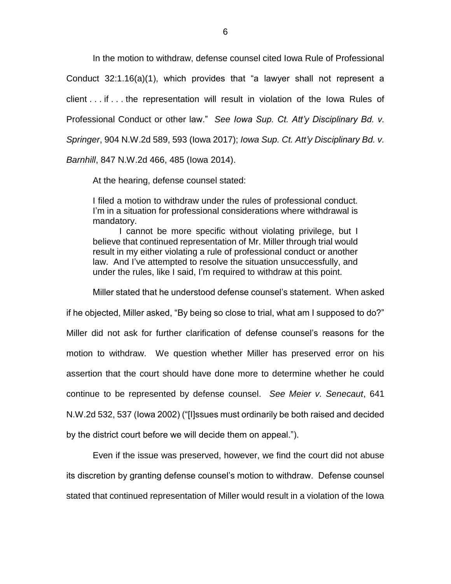In the motion to withdraw, defense counsel cited Iowa Rule of Professional Conduct 32:1.16(a)(1), which provides that "a lawyer shall not represent a client . . . if . . . the representation will result in violation of the Iowa Rules of Professional Conduct or other law." *See Iowa Sup. Ct. Att'y Disciplinary Bd. v. Springer*, 904 N.W.2d 589, 593 (Iowa 2017); *Iowa Sup. Ct. Att'y Disciplinary Bd. v. Barnhill*, 847 N.W.2d 466, 485 (Iowa 2014).

At the hearing, defense counsel stated:

I filed a motion to withdraw under the rules of professional conduct. I'm in a situation for professional considerations where withdrawal is mandatory.

I cannot be more specific without violating privilege, but I believe that continued representation of Mr. Miller through trial would result in my either violating a rule of professional conduct or another law. And I've attempted to resolve the situation unsuccessfully, and under the rules, like I said, I'm required to withdraw at this point.

Miller stated that he understood defense counsel's statement. When asked

if he objected, Miller asked, "By being so close to trial, what am I supposed to do?" Miller did not ask for further clarification of defense counsel's reasons for the motion to withdraw. We question whether Miller has preserved error on his assertion that the court should have done more to determine whether he could continue to be represented by defense counsel. *See Meier v. Senecaut*, 641 N.W.2d 532, 537 (Iowa 2002) ("[I]ssues must ordinarily be both raised and decided by the district court before we will decide them on appeal.").

Even if the issue was preserved, however, we find the court did not abuse its discretion by granting defense counsel's motion to withdraw. Defense counsel stated that continued representation of Miller would result in a violation of the Iowa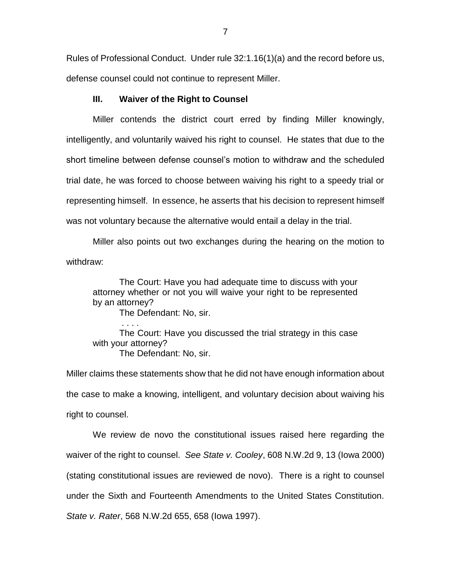Rules of Professional Conduct. Under rule 32:1.16(1)(a) and the record before us, defense counsel could not continue to represent Miller.

# **III. Waiver of the Right to Counsel**

Miller contends the district court erred by finding Miller knowingly, intelligently, and voluntarily waived his right to counsel. He states that due to the short timeline between defense counsel's motion to withdraw and the scheduled trial date, he was forced to choose between waiving his right to a speedy trial or representing himself. In essence, he asserts that his decision to represent himself was not voluntary because the alternative would entail a delay in the trial.

Miller also points out two exchanges during the hearing on the motion to withdraw:

The Court: Have you had adequate time to discuss with your attorney whether or not you will waive your right to be represented by an attorney?

The Defendant: No, sir.

. . . . The Court: Have you discussed the trial strategy in this case with your attorney? The Defendant: No, sir.

Miller claims these statements show that he did not have enough information about the case to make a knowing, intelligent, and voluntary decision about waiving his right to counsel.

We review de novo the constitutional issues raised here regarding the waiver of the right to counsel. *See State v. Cooley*, 608 N.W.2d 9, 13 (Iowa 2000) (stating constitutional issues are reviewed de novo). There is a right to counsel under the Sixth and Fourteenth Amendments to the United States Constitution. *State v. Rater*, 568 N.W.2d 655, 658 (Iowa 1997).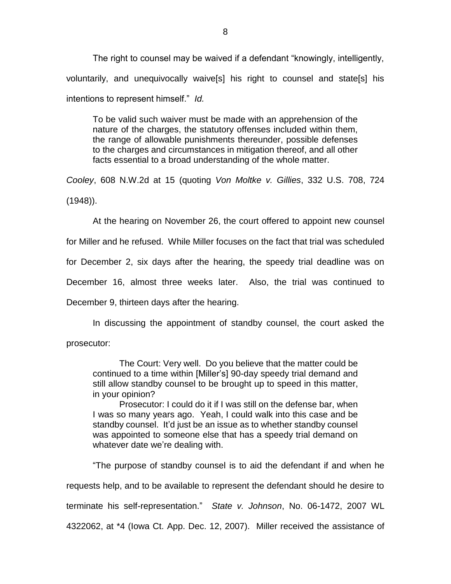The right to counsel may be waived if a defendant "knowingly, intelligently, voluntarily, and unequivocally waive[s] his right to counsel and state[s] his intentions to represent himself." *Id.*

To be valid such waiver must be made with an apprehension of the nature of the charges, the statutory offenses included within them, the range of allowable punishments thereunder, possible defenses to the charges and circumstances in mitigation thereof, and all other facts essential to a broad understanding of the whole matter.

*Cooley*, 608 N.W.2d at 15 (quoting *Von Moltke v. Gillies*, 332 U.S. 708, 724 (1948)).

At the hearing on November 26, the court offered to appoint new counsel

for Miller and he refused. While Miller focuses on the fact that trial was scheduled

for December 2, six days after the hearing, the speedy trial deadline was on

December 16, almost three weeks later. Also, the trial was continued to

December 9, thirteen days after the hearing.

In discussing the appointment of standby counsel, the court asked the

prosecutor:

The Court: Very well. Do you believe that the matter could be continued to a time within [Miller's] 90-day speedy trial demand and still allow standby counsel to be brought up to speed in this matter, in your opinion?

Prosecutor: I could do it if I was still on the defense bar, when I was so many years ago. Yeah, I could walk into this case and be standby counsel. It'd just be an issue as to whether standby counsel was appointed to someone else that has a speedy trial demand on whatever date we're dealing with.

"The purpose of standby counsel is to aid the defendant if and when he requests help, and to be available to represent the defendant should he desire to terminate his self-representation." *State v. Johnson*, No. 06-1472, 2007 WL 4322062, at \*4 (Iowa Ct. App. Dec. 12, 2007). Miller received the assistance of